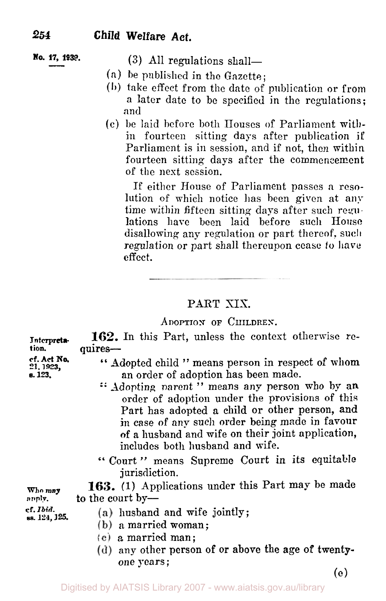# **No. 17,** *1939.* **(3)** All regulations shall-

- **(a)** he published in the Gazette;
- **(b)** take effect from the date of publication or from a later date to be specified in the regulations; and
- (c) be laid before both Houses of Parliament within fourteen sitting days after publication **if**  Parliament is in session, and if not, then within fourteen sitting days after the commencement of the nest session.

If either House of Parliament passes **a** resolution of which notice has been given at any time within fifteen sitting days after such regu-Iations have been laid before such House disallowing any regulation or part thereof, such regulation or part shall thereupon cease **to have effect.** 

## PART **XIX.**

## **ADOPTION OF CHILDREN.**

| Interpreta-<br>tion.<br>cf. Act No.<br>21, 1923,<br>s. 123. | 162. In this Part, unless the context otherwise re-<br>quires-<br>"Adopted child " means person in respect of whom<br>an order of adoption has been made.<br>" Adopting parent" means any person who by an<br>order of adoption under the provisions of this<br>Part has adopted a child or other person, and<br>in case of any such order being made in favour |  |  |  |  |
|-------------------------------------------------------------|-----------------------------------------------------------------------------------------------------------------------------------------------------------------------------------------------------------------------------------------------------------------------------------------------------------------------------------------------------------------|--|--|--|--|
|                                                             | of a husband and wife on their joint application,<br>includes both husband and wife.<br>"Court" means Supreme Court in its equitable                                                                                                                                                                                                                            |  |  |  |  |
| Who may<br>anply.                                           | jurisdiction.<br>163. (1) Applications under this Part may be made<br>to the court by-                                                                                                                                                                                                                                                                          |  |  |  |  |
| cf. Ibid.<br>ss. 124, 125.                                  | (a) husband and wife jointly;<br>(b) a married woman;<br>(c) a married man;<br>$(d)$ any other person of or above the age of twenty-<br>one years;<br>(e)                                                                                                                                                                                                       |  |  |  |  |
|                                                             |                                                                                                                                                                                                                                                                                                                                                                 |  |  |  |  |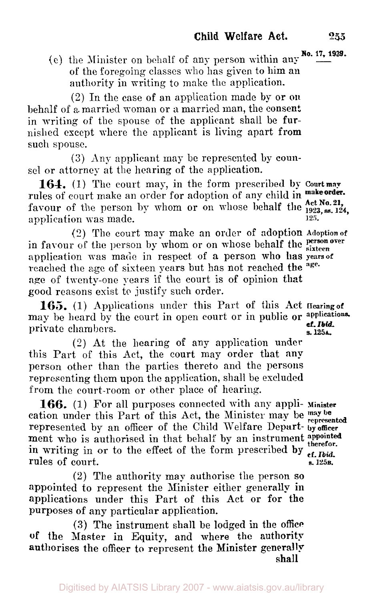**No. 17. 1939.** (e) the Minister on behalf of any person within any of the foregoing classes who has given to him an authority in writing to make the application.

(2) In the case of an application made by or **on**  behalf of *a.* married woman or a married man, the consent in writing of the spouse of the applicant shall be furnished except where the applicant is living apart from such spouse.

(3) Any applicant may be represented by counsel or attorney at the hearing of the application.

**164. (1)** The court may, in the form prescribed **by Court may**  rules of court make an order for adoption of any child in make order. favour of the person by whom or on whose behalf the  $^{121}$ <sub>1923, ss. 124,</sub>  $^{124}$ application was made. 125.

(2) The court may make an order of adoption **Adoption of**  in favour of the person by whom or on whose behalf the **person over** application vas made in respect of a person who has **years of**  reached the age of sixteen years but has not reached the <sup>age.</sup> **age** of twenty-one years if the court is of opinion that good reasons exist to justify such order.

**165.** (1) Applications under this Part of this **Act Hearing of**  may be heard by the court in open court or in public **or applications cf.** *Ibid.*  private chambers. *s.* **125A.** 

*(2)* At the hearing of any application under this Part of this Act, the court may order that any person other than the parties thereto and the persons representing them upon the application, shall be excluded from the court-room or other place of hearing.

**166.** (1) For all purposes connected with any appli- **Minister**  cation under this Part of this Act, the Minister may be may be represented represented by an officer of the Child Welfare Depart- **by officer**  ment who is authorised in that behalf by an instrument appointed in writing in an table of the function  $\frac{1}{\sqrt{2}}$ in writing in or to the effect of the form prescribed by  $_{cf. \text{thid.}}$ rules of court. **S. 125B. S. 125B.** 

(2) The authority may authorise the person *so*  appointed to represent the Minister either generally in applications under this Part of this Act or for the purposes of any particular application.

**(3)** The instrument shall be lodged in the **office of** the Master in Equity, and where the authority authorises the officer to represent the Minister generally shall

Digitised by AIATSIS Library 2007 - www.aiatsis.gov.au/library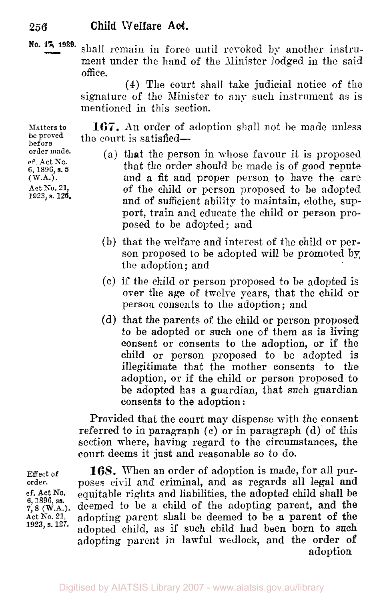**No. 17 1939.**  shall remain in force until revoked by another instrument under the hand of the Minister lodged in the said office.

**(4)** The court shall take judicial notice of the signature of the Minister to any such instrument as is mentioned in this section.

**167.** An order of adoption shall not be made unless the court is satisfied-

- (a) that the person in whose favour it is proposed that the order should be made is of good repute and a fit and proper person to have the care of the child or person proposed to be adopted and of sufficient ability to maintain, clothe, support, train and educate the child or person proposed to be adopted: and
- (b) that the welfare and interest of the child or person proposed to be adopted will be promoted by the adoption; and
- (c) if the child or person proposed to be adopted is over the age of twelve years, that the child **or**  person consents to the adoption; and
- (d) that the parents of the child or person proposed to be adopted or such one of them as is living consent or consents to the adoption, or if the child or person proposed to be adopted is illegitimate that the mother consents to the adoption, or if the child or person proposed to be adopted has a guardian, that such guardian consents to the adoption:

Provided that the court may dispense with the consent referred to in paragraph (c) or in paragraph (d) of this section where, having regard to the circumstances, the court deems it just and reasonable so to do.

Effect of order. cf. Act NO. **6, 1896, ss. 7, 8** (W.A.). Act **No.** 21, **1923, s. 127.** 

**168.** When an order of adoption is made, for all purposes civil and criminal, and as regards all legal and equitable rights and liabilities, the adopted child shall be deemed to be **a** child of the adopting parent, and the adopting parent shall be deemed to be **a** parent of the adopted child, as if such child had been born to such adopting parent in lawful wedlock, and the order of adoption

**Matters** to be proved before order made. **cf. Act So.**  6, **1896, s. 5**  ( **W.A.).**  Act No. 21, 1923, **s. 126.**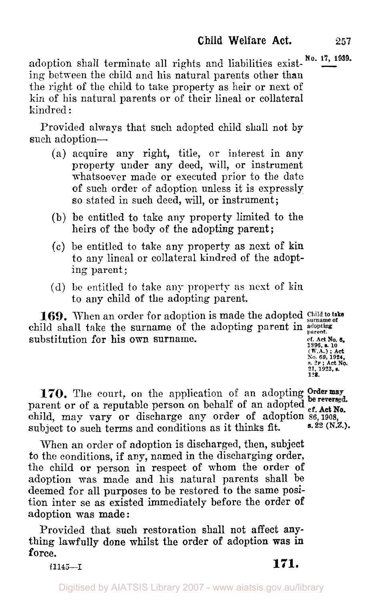adoption shall terminate all rights and liabilities exist-<sup>No. 17, 1939.</sup> ing between the child and his natural parents other than the right of the child to take property as heir or next of kin of his natural parents or of their lineal or collateral kindred :

Provided always that such adopted child shall not by such adoption-

- (a) acquire any right, title, or interest in any property under any deed, will, or instrument whatsoever made or executed prior to the date of such order of adoption unless it is expressly so stated in such deed, will, or instrument;
- (b) be entitled to take any property limited to the heirs of the body of the adopting parent;
- (c) be entitled to take any property as nest of **kin**  to any lineal or collateral kindred of the adopting parent;
- (d) **be** entitled to take any property as nest of kin to any child of the adopting parent.

**169.** When an order for adoption is made the adopted Child to take child shall take the surname of the adopting parent in *adopting parent.*  substitution for his own surname. **Example 1** of Act No. 6.

**1896.** s. **10 (W.A.)** : **Act No. 69, 1924,** *s.* **2F** : **Act No. 21, 1923, s. 128.** 

**170.** The court, on the application of an adopting Order may parent or of a reputable person on behalf of an adopted of Act No. parent or of a reputable person on behalf of an adopted  $_{cf.}^{be.}$ parent of of a reputable person on behalf of an adopted ef. **Act No.**<br>
child, may vary or discharge any order of adoption 86, 1908, subject to such terms and conditions as it thinks fit.

When an order of adoption is discharged, then, subject to the conditions, if any, named in the discharging order, the child or person in respect of whom the order of adoption was made and his natural parents shall be deemed for all purposes to be restored to the same position inter se as existed immediately before the order of adoption was made :

Provided that such restoration shall not affect **any**thing lawfully done whilst the order of adoption **was** in force.

**s.22 (N.Z.).** 

**†1145-I 171.**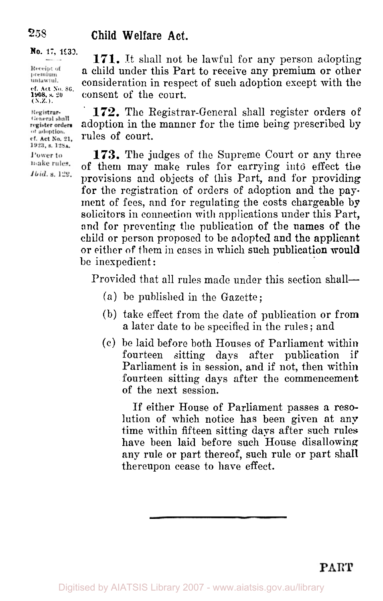**No. 17, 1933.** 

Receipt of premium untawiul. **cf. Act No. 86,**  *(N.Z.). 1908,* **s. 20** 

Registrar-General shall register orders of adoption. cf. Act No. 21. 1923, s. 12SA. Power to

make rules. *Ibid. s. 129.* 

**171.** It shall not be lawful for any person adopting **a** child under this Part to receive any premium or other consideration in respect of such adoption except with the consent of the court.

172. The Registrar-General shall register orders of adoption in the manner for the time being prescribed by rules of court.

**173.** The judges of the Supreme Court or any three of them may make rules for carrying into effect the provisions and objects of this Part, and for providing for the registration of orders of adoption and the payment of fees, and for regulating the costs chargeable by solicitors in connection with applications under this Part, and for preventing the publication of the **names** of the child or person proposed to be adopted and the applicant or either of them in cases in which such publication would be inexpedient :

Provided that all rules made under this section shall-

- (a) be published in the Gazette ;
- (b) take effect from the date of publication or from a later date to be specified in the rules ; and
- (c) be laid before both Houses of Parliament within fourteen sitting days after publication if Parliament is in session, and if not, then within fourteen sitting days after the commencement of the next session.

If either House of Parliament passes **a** resolution of which notice has been given at any time within fifteen sitting days after such rules have been laid before such House disallowing any rule or part thereof, such rule or part shall thereupon cease to have effect.

*258*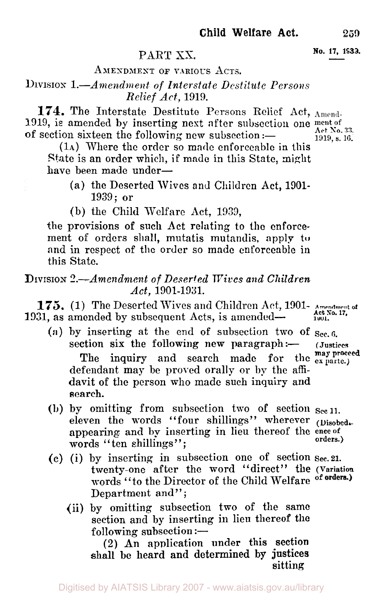# PART XX. **No. 17, 1933.**

## AMENDMENT OF VARIOUS ACTS.

## **DIVISION** *l.-Amendment* of *Interstate Destitute Persons Relief Act,* 1919.

**174.** The Interstate Destitute Persons Relief **Act,**  1919, is amended by inserting nest after subsection one **ment of**  of section sixteen the following new subsection :-  $A_{0.33}^{A_{\text{c}}(1)}$   $A_{1919, s. 16}^{A_{\text{c}}(1)}$ 

*(1A)* Where the order so made enforceable in this State is an order which, if made in this State, might have been made under-

**(a)** the Deserted Wives and Children Act, **1901-**  1939; or

(b) the Child Welfare Act, 1933,

the provisions **of** such Act relating to the enforcement of orders shall, mutatis mutandis, apply to and in respect of thc order so made enforeable in this State.

## **DIVISION** *4.-Amendnment of Deserted Wives and Children Act,* **1901-1931.**

**175.** *(1)* The Deserted Wives and Children Act, 1901- **Amendment** *of*  **1931, as amended by subsequent Acts, is amended-**  $\overrightarrow{ActN0.17}$ 

- **(a)** by inserting at the end of subsection two of **sec. 6.**  section six the following new paragraph :defendant may be proved orally or by the affidavit of the person who made such inquiry and search. The inquiry and search made for the **ex parte.**)
- (b) by omitting from subsection two **of** section **sec 11.**  eleven the words "four shillings" wherever (Disobedaappearing and by inserting in lieu thereof the ence of orders.) words "ten shillings";
- (c) (i) by inserting in subsection one of section **Sec.21.**  twenty-one after the word "direct" the **(Variation**  words "to the Director of the Child Welfare of orders.) Department and";
	- **(ii)** by omitting subsection two of the same section and by inserting in lieu thereof the following subsection : $-$

(2) An application under this section shall **be** heard and determined **by justices**  sitting

**(Justices may proceed**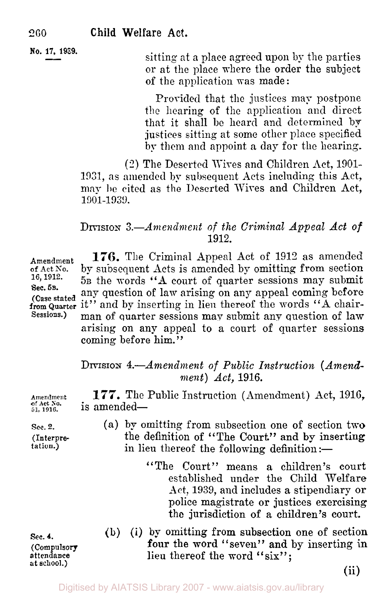**No. 17, 1939. Solution** is sitting at a place agreed upon by the parties or at the place where the order the subject of the application was made :

> Provided that the justices may postpone the hearing of the application and direct that it shall be heard and determined by justices sitting at some other place specified by them and appoint a day for the hearing.

(2) The Deserted Wives and Children Act, 1901- 1931, as amended by subsequent Acts including this Act, may be cited as the Deserted Wires and Children Act, 1901-1939.

## DIVISION *3.-Amendment of the Criminal Appeal Act of*  1912.

Amendment 176. The Criminal Appeal Act of 1912 as amended of Act No. **by subsequent Acts is amended by omitting from section** 16, 1912. **5p** the words "A count of quarter sessions may submit 5B the words "A court of quarter sessions may submit any question of law arising on any appeal coming before (Case stated any question of *law arising* on any appear coming before from Quarter it" and by inserting in lieu thereof the words "A chair-<br>Sessions.) man of quarter sessions may submit any question of law **Sessions.)** man of quarter sessions may submit any question of **law**  arising on any appeal to a court of quarter sessions coming before him."

## DIVISION 4.-*Amendment of Public Instruction (Amendment) Act,* 1916.

**177.** The Public Instruction ( Amendment) Act, 1916, is amended-

- (a) by omitting from subsection one of section two the definition of "The Court" and by inserting in lieu thereof the following definition :-
	- "The Court" means **a** children's court established under the Child Welfare Act, 1939, and includes a stipendiary or police magistrate or justices exercising the jurisdiction of a children's court.
- (b) (i) by omitting from subsection one of section Sec. 4. (b) (1) by omitting from subsection one of section<br>
(Compulsory four the word "seven" and by inserting in<br>
attendance lieu thereof the word "six";<br>
at school.)

(ii)

**Sec. 5B.** 

**Sec. 4. (Compulsory** 

**of Act** *So.* 

**Sec. 2.** 

- **(Interpre-** $\frac{1}{1}$
- **Amendment**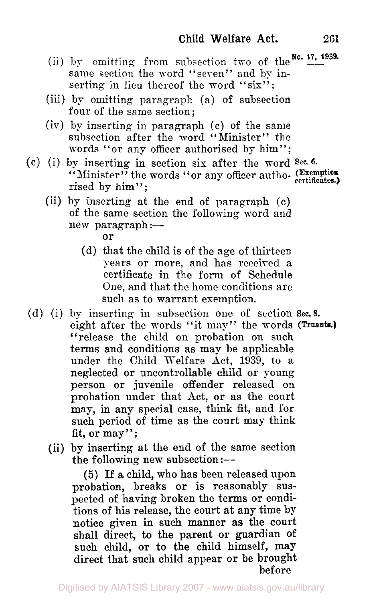- (ii) by omitting from subsection two of the  $x_0$ . **17, 1939.** same section the word "seven" and by inserting in lieu thereof the word "six";
- (iii) by omitting paragraph (a) of subsection four of the same section;
- (iv) by inserting in paragraph (c) of the same subsection after the word "Minister" the words "or any officer authorised by him";
- (c) (i) by inserting in section six after the word *Sec. 6.*  by inserting in section six after the word -<br>"Minister" the words "or any officer autho- (Exemption rised by him":
	- (ii) by inserting at the end of paragraph (c) of the same section the following word and  $new$  paragraph :-

- (d) that the child is of the age of thirteen years or more, and has received **a**  certificate in the form of Schedule One, and that the home conditions are such as to warrant exemption.
- (d) (i) by inserting in subsection one of section **Sec. 8.**  eight after the words "it may" the words (Truants.) "release the child on probation on such terms and conditions as may be applicable under the Child Welfare Act, 1939, to a neglected or uncontrollable child or young person or juvenile offender released on probation under that Act, or as the court may, in any special case, think fit, and for such period of time as the court may think fit, or may";
	- (ii) by inserting **at** the end of the same section the following new subsection: $\leftarrow$

(5) If **a** child, who has been released upon probation, breaks or is reasonably suspected of having broken the terms or conditions of his release, the court at any time by notice given in such manner as the court shall direct, to the parent or guardian of such child, or to the child himself, may direct that such child appear or be brought before

or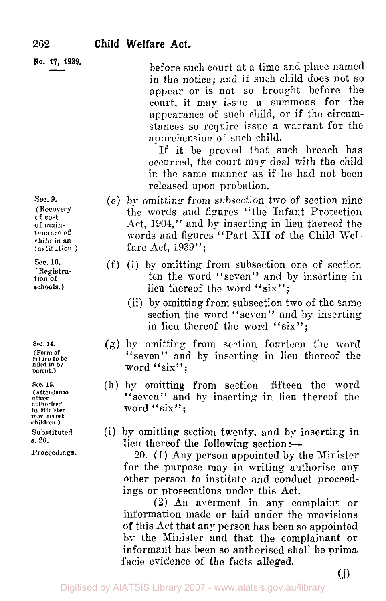**No. 17, 1939.** 

before such court at a time and place named in the notice; and if such child does not so appear or is not so brought before the court, it may issue a summons for the appearance of such child, or if the circumstances so require issue a warrant for the apprehension of such child.

If it be proved that such breach has occurred, the court may deal with the child in the same manner as if he had not been released upon probation.

- (e) by omitting from subsection two of section nine the words and figures "the Infant Protection Act, 1904," and by inserting in lieu thereof the words and figures "Part XII of the Child Welfare Act, 1939";
- (f) (i) by omitting from subsection one of section ten the word "seven" and by inserting in lieu thereof the word "six";
	- (ii) by omitting from subsection two of the same section the word "seven" and by inserting in lieu thereof the word "six";
- (g) by omitting from section fourteen the word "seven" and by inserting in lieu thereof the word "six";
- (h) by omitting from section fifteen the word seven" and by inserting in lieu thereof the **"**  word "six";
- (i) by omitting section twenty, and by inserting in lieu thereof the following section :-

*20.* (1) Any person appointed by the Minister for the purpose may in writing authorise any other person to institute and conduct proceedings or prosecutions under this Act.

**(2)** An averment in any complaint or information made or laid under the provisions of this Act that any person has been so appointed by the Minister and that the complainant or informant has been so authorised shall be prima facie evidence of the facts alleged.

**Sec.** 9. **(Recovery**  of *cost*  **of mantenance of**  institution.)

*Sec.* **10. (Registra**tion **of schools.)** 

**Sec. 14. (Form of return to be filled in by parent.)** 

**Sec. 15. (Attendance officer authorised by Minister may accost children.)** 

**Substituted**  s. **20.** 

**Proceedings.**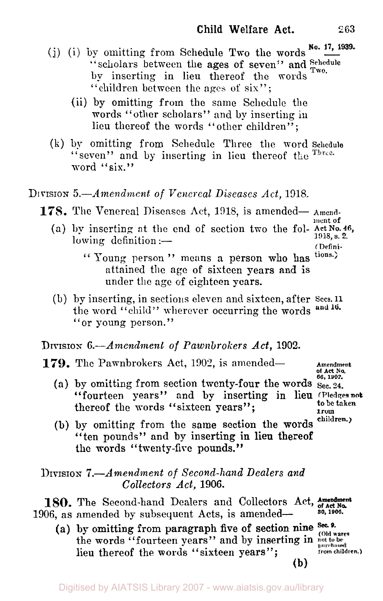- (j) (i) by omitting from Schedule Two the words  $\frac{N_0$ . 17, 1939. "scholars between the ages of seven" and Schedule by inserting in lieu thereof the words "children between the ages of six";
	- (ii) by omitting from the same Schedule the words "other scholars" and by inserting in lieu thereof the words ''other children";
- **(k)** by omitting from Schedule Three the word **Schedule**  "seven" and by inserting in lieu thereof the Three. word "six."

## DIVISION *5.--Amendment of Venereal Diseases Act,* 1918,

- **178.** The Venereal Diseases Act, 1918, is amended— Amend
	- **ment of**  (a) by inserting at the end of section two the fol- **Act No. 46,**<br>
	lowing definition :--
		- **(Defini-**
		- Young. person '' means a person **who** has **tions.:**  attained the age of sixteen years and is under the age of eighteen years.
	- (b) by inserting, in sections eleven and sixteen, after **Sees. <sup>11</sup>** the word "child" wherever occurring the words and 16. or young person." **"**

## DIVISION *6.-Amendment of Pawnbrokers Act,* **1902.**

- **179.** The Pawnbrokers Act, 1902, is amended-<br> **179.** The Pawnbrokers Act, 1902, is amended-<br> **Amendment** 
	- (a) by omitting from section twenty-four the words Sec. 24. "fourteen years" and by inserting in lien **(Pledges not**  thereof the words "sixteen years";
- **of Act No. 66.** *1902.*  **to be taken from children.)** 
	- (b) by omitting from the same section the words "ten pounds" and by inserting in lieu thereof the **words** "twenty-fire pounds."

## **DIVISION** *7.-Amendment of Second-hand Dealers and Collectors Act,* 1906

**180.** The Second-hand Dealers and Collectors Act, **of act by the Second-hand Dealers** and Collectors Act, **of act by the Second-**1906, as amended by subsequent Acts, is amended-

(a) by omitting from paragraph five of section nine Sec. 9. (Old wares the words "fourteen years" and by inserting in  $_{\text{pot to be}}^{\text{tot to be}}$ <br>lieu thereof the words "sixteen years": lieu thereof the words "sixteen years"; **(b)** 

**Amendment**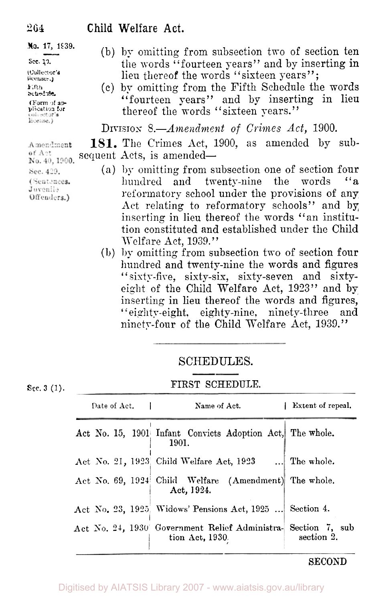**(Collector's licenses.) Schedule** 

Amendment of Ant No. 40, 1900. Sec. 429. (Sentences.

Juvenile Offenders.)

- **No. 17, 1939.** (b) by omitting from subsection two of section ten<br>sec. 19. (b) by omitting from subsection two of section ten the words "fourteen years" and by inserting in lieu thereof the words "sixteen years";
- **Fifth** Schedule the words seasine.<br>(Fourteen years" and by inserting in lieu thereof the words "sixteen years." **pplication for**

DIVISION *8.-Amendment of Crimes Act,* 1900.

**181.** The Crimes Act, 1900, as amended by sub sequent Acts, is amended-

- (a) by omitting from subsection one of section four<br>hundred and twenty-nine the words "a hundred and twenty-nine the words reformatory school under the provisions of any Act relating to reformatory schools" and by inserting in lieu thereof the words "an institution constituted and established under the Child Welfare Act, 1939."
- **(b)** by omitting from subsection two of section four hundred and twenty-nine the words and figures " $s$ ixty-five, sixty-six, sixty-seven and sixtyeight of the Child Welfare Act, 1923" and by inserting in lieu thereof the words and figures, "eighty-eight, eighty-nine, ninety-three and ninety-four of the Child Welfare Act, 1939."

## SCHEDULES.

## See. 3 (1). **FIRST SCHEDULE.**

| Date of Act. |  |  | Name of Act.                                                                     | Extent of repeal. |
|--------------|--|--|----------------------------------------------------------------------------------|-------------------|
|              |  |  | Act No. 15, 1901 Infant Convicts Adoption Act, The whole.<br>1901.               |                   |
|              |  |  | Act No. 21, 1923. Child Welfare Act, 1923  The whole.                            |                   |
|              |  |  | Act No. 69, 1924 Child Welfare (Amendment) The whole.<br>Act, 1924.              |                   |
|              |  |  | Act No. 23, 1925 Widows' Pensions Act, 1925  Section 4.                          |                   |
|              |  |  | Act No. 24, 1930 Government Relief Administra- Section 7, sub<br>tion Act, 1930. | section 2.        |

## **SECOND**

# 264 **Child** Welfare **Act.**

## Digitised by AIATSIS Library 2007 - www.aiatsis.gov.au/library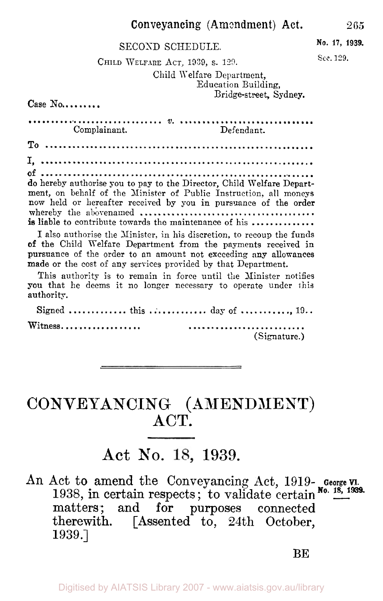## Conveyancing (Amendment) **Act.** 265

## SECOND SCHEDULE. **No. 17, 1939.**

**See.** 129. CHILD WELFARE ACT, **1939,** *s.* 129.

Child Welfare Department, Education Building,

Bridge-street, Sydney.

 $Case No...$ 

*V.*  Complainant. Defendant. To I, **of do** hereby authorise you to pay to the Director, Child Welfare Department, on behalf of the Minister of Public Instruction, all moneys nom held or hereafter received by you in pursuance of the order whereby the abovenamed **is** liable to contribute towards the maintenance of his

I also authorise the Minister, in his discretion, to recoup the funds **of** the Child Welfare Department from the payments received in pursuance of the order to an amount not exceeding any allowances made or the cost of any services provided by that Department.

This authority is to remain in force until the Minister notifies you that he deems it no longer necessary to operate under this authority.

Signed ............. this .............. day of ............. 19.. Witness.................. (Signature.)

# CONVEYANCING (AMENDMENT) **ACT.**

# **Act NO. 1939.**

An Act to amend the Conveyancing Act, 1919- **George VI.**  1938, in certain respects; to validate certain No. 18, 1939. matters.; and for purposes connected therewith. [Assented to, 24th October, 1939.]

**BE**